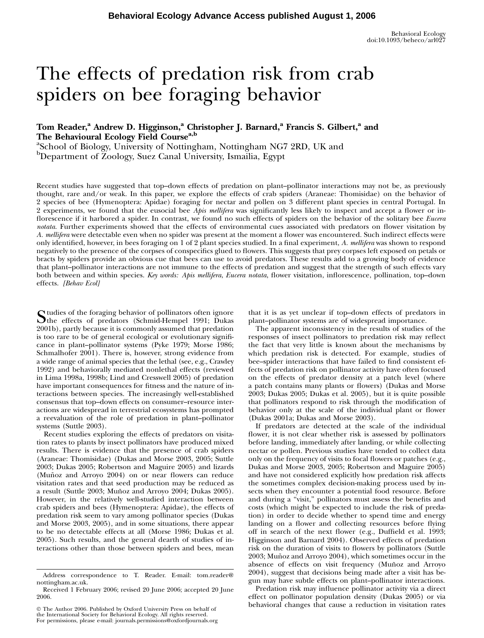# The effects of predation risk from crab spiders on bee foraging behavior

# Tom Reader,<sup>a</sup> Andrew D. Higginson,<sup>a</sup> Christopher J. Barnard,<sup>a</sup> Francis S. Gilbert,<sup>a</sup> and The Behavioural Ecology Field Course<sup>a,b</sup>

<sup>a</sup>School of Biology, University of Nottingham, Nottingham NG7 2RD, UK and b Department of Zoology, Suez Canal University, Ismailia, Egypt

Recent studies have suggested that top–down effects of predation on plant–pollinator interactions may not be, as previously thought, rare and/or weak. In this paper, we explore the effects of crab spiders (Araneae: Thomisidae) on the behavior of 2 species of bee (Hymenoptera: Apidae) foraging for nectar and pollen on 3 different plant species in central Portugal. In 2 experiments, we found that the eusocial bee Apis mellifera was significantly less likely to inspect and accept a flower or inflorescence if it harbored a spider. In contrast, we found no such effects of spiders on the behavior of the solitary bee *Eucera* notata. Further experiments showed that the effects of environmental cues associated with predators on flower visitation by A. mellifera were detectable even when no spider was present at the moment a flower was encountered. Such indirect effects were only identified, however, in bees foraging on 1 of 2 plant species studied. In a final experiment, A. mellifera was shown to respond negatively to the presence of the corpses of conspecifics glued to flowers. This suggests that prey corpses left exposed on petals or bracts by spiders provide an obvious cue that bees can use to avoid predators. These results add to a growing body of evidence that plant–pollinator interactions are not immune to the effects of predation and suggest that the strength of such effects vary both between and within species. Key words: Apis mellifera, Eucera notata, flower visitation, inflorescence, pollination, top–down effects. [Behav Ecol]

Studies of the foraging behavior of pollinators often ignore<br>the effects of predators (Schmid-Hempel 1991; Dukas 2001b), partly because it is commonly assumed that predation is too rare to be of general ecological or evolutionary significance in plant–pollinator systems (Pyke 1979; Morse 1986; Schmalhofer 2001). There is, however, strong evidence from a wide range of animal species that the lethal (see, e.g., Crawley 1992) and behaviorally mediated nonlethal effects (reviewed in Lima 1998a, 1998b; Lind and Cresswell 2005) of predation have important consequences for fitness and the nature of interactions between species. The increasingly well-established consensus that top–down effects on consumer–resource interactions are widespread in terrestrial ecosystems has prompted a reevaluation of the role of predation in plant–pollinator systems (Suttle 2003).

Recent studies exploring the effects of predators on visitation rates to plants by insect pollinators have produced mixed results. There is evidence that the presence of crab spiders (Araneae: Thomisidae) (Dukas and Morse 2003, 2005; Suttle 2003; Dukas 2005; Robertson and Maguire 2005) and lizards (Muñoz and Arroyo 2004) on or near flowers can reduce visitation rates and that seed production may be reduced as a result (Suttle 2003; Muñoz and Arroyo 2004; Dukas 2005). However, in the relatively well-studied interaction between crab spiders and bees (Hymenoptera: Apidae), the effects of predation risk seem to vary among pollinator species (Dukas and Morse 2003, 2005), and in some situations, there appear to be no detectable effects at all (Morse 1986; Dukas et al. 2005). Such results, and the general dearth of studies of interactions other than those between spiders and bees, mean

The Author 2006. Published by Oxford University Press on behalf of the International Society for Behavioral Ecology. All rights reserved. For permissions, please e-mail: journals.permissions@oxfordjournals.org

that it is as yet unclear if top–down effects of predators in plant–pollinator systems are of widespread importance.

The apparent inconsistency in the results of studies of the responses of insect pollinators to predation risk may reflect the fact that very little is known about the mechanisms by which predation risk is detected. For example, studies of bee–spider interactions that have failed to find consistent effects of predation risk on pollinator activity have often focused on the effects of predator density at a patch level (where a patch contains many plants or flowers) (Dukas and Morse 2003; Dukas 2005; Dukas et al. 2005), but it is quite possible that pollinators respond to risk through the modification of behavior only at the scale of the individual plant or flower (Dukas 2001a; Dukas and Morse 2003).

If predators are detected at the scale of the individual flower, it is not clear whether risk is assessed by pollinators before landing, immediately after landing, or while collecting nectar or pollen. Previous studies have tended to collect data only on the frequency of visits to focal flowers or patches (e.g., Dukas and Morse 2003, 2005; Robertson and Maguire 2005) and have not considered explicitly how predation risk affects the sometimes complex decision-making process used by insects when they encounter a potential food resource. Before and during a ''visit,'' pollinators must assess the benefits and costs (which might be expected to include the risk of predation) in order to decide whether to spend time and energy landing on a flower and collecting resources before flying off in search of the next flower (e.g., Duffield et al. 1993; Higginson and Barnard 2004). Observed effects of predation risk on the duration of visits to flowers by pollinators (Suttle 2003; Muñoz and Arroyo 2004), which sometimes occur in the absence of effects on visit frequency (Muñoz and Arroyo 2004), suggest that decisions being made after a visit has begun may have subtle effects on plant–pollinator interactions.

Predation risk may influence pollinator activity via a direct effect on pollinator population density (Dukas 2005) or via behavioral changes that cause a reduction in visitation rates

Address correspondence to T. Reader. E-mail: tom.reader@ nottingham.ac.uk.

Received 1 February 2006; revised 20 June 2006; accepted 20 June 2006.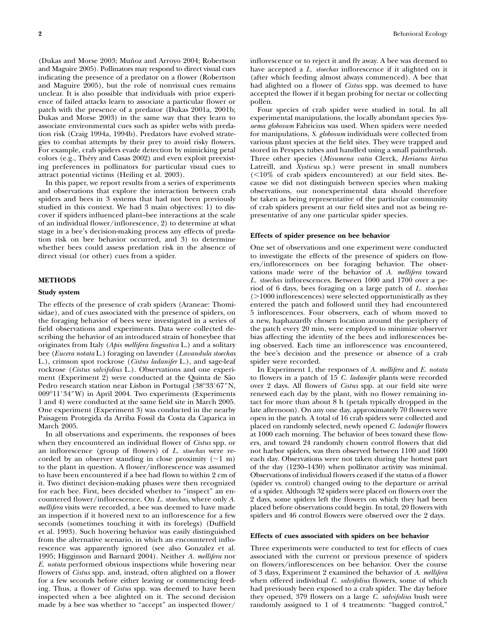(Dukas and Morse 2003; Muñoz and Arroyo 2004; Robertson and Maguire 2005). Pollinators may respond to direct visual cues indicating the presence of a predator on a flower (Robertson and Maguire 2005), but the role of nonvisual cues remains unclear. It is also possible that individuals with prior experience of failed attacks learn to associate a particular flower or patch with the presence of a predator (Dukas 2001a, 2001b; Dukas and Morse 2003) in the same way that they learn to associate environmental cues such as spider webs with predation risk (Craig 1994a, 1994b). Predators have evolved strategies to combat attempts by their prey to avoid risky flowers. For example, crab spiders evade detection by mimicking petal colors (e.g., Théry and Casas 2002) and even exploit preexisting preferences in pollinators for particular visual cues to attract potential victims (Heiling et al. 2003).

In this paper, we report results from a series of experiments and observations that explore the interaction between crab spiders and bees in 3 systems that had not been previously studied in this context. We had 3 main objectives: 1) to discover if spiders influenced plant–bee interactions at the scale of an individual flower/inflorescence, 2) to determine at what stage in a bee's decision-making process any effects of predation risk on bee behavior occurred, and 3) to determine whether bees could assess predation risk in the absence of direct visual (or other) cues from a spider.

# METHODS

### Study system

The effects of the presence of crab spiders (Araneae: Thomisidae), and of cues associated with the presence of spiders, on the foraging behavior of bees were investigated in a series of field observations and experiments. Data were collected describing the behavior of an introduced strain of honeybee that originates from Italy (Apis mellifera lingustica L.) and a solitary bee (Eucera notata L.) foraging on lavender (Lavandula stoechas L.), crimson spot rockrose (*Cistus ladanifer L.*), and sage-leaf rockrose (Cistus salvifolius L.). Observations and one experiment (Experiment 2) were conducted at the Quinta de São Pedro research station near Lisbon in Portugal (38°33'67"N, 009°11′34″W) in April 2004. Two experiments (Experiments 1 and 4) were conducted at the same field site in March 2005. One experiment (Experiment 3) was conducted in the nearby Paisagem Protegida da Arriba Fossil da Costa da Caparica in March 2005.

In all observations and experiments, the responses of bees when they encountered an individual flower of Cistus spp. or an inflorescence (group of flowers) of L. stoechas were recorded by an observer standing in close proximity  $(\sim 1 \text{ m})$ to the plant in question. A flower/inflorescence was assumed to have been encountered if a bee had flown to within 2 cm of it. Two distinct decision-making phases were then recognized for each bee. First, bees decided whether to ''inspect'' an encountered flower/inflorescence. On L. stoechas, where only A. mellifera visits were recorded, a bee was deemed to have made an inspection if it hovered next to an inflorescence for a few seconds (sometimes touching it with its forelegs) (Duffield et al. 1993). Such hovering behavior was easily distinguished from the alternative scenario, in which an encountered inflorescence was apparently ignored (see also Gonzalez et al. 1995; Higginson and Barnard 2004). Neither A. mellifera nor E. notata performed obvious inspections while hovering near flowers of *Cistus* spp. and, instead, often alighted on a flower for a few seconds before either leaving or commencing feeding. Thus, a flower of Cistus spp. was deemed to have been inspected when a bee alighted on it. The second decision made by a bee was whether to "accept" an inspected flower/

inflorescence or to reject it and fly away. A bee was deemed to have accepted a L. stoechas inflorescence if it alighted on it (after which feeding almost always commenced). A bee that had alighted on a flower of Cistus spp. was deemed to have accepted the flower if it began probing for nectar or collecting pollen.

Four species of crab spider were studied in total. In all experimental manipulations, the locally abundant species Synaema globosum Fabricius was used. When spiders were needed for manipulations, S. globosum individuals were collected from various plant species at the field sites. They were trapped and stored in Perspex tubes and handled using a small paintbrush. Three other species (Misumena vatia Clerck, Heriaeus hirtus Latreill, and Xysticus sp.) were present in small numbers  $($  <10% of crab spiders encountered) at our field sites. Because we did not distinguish between species when making observations, our nonexperimental data should therefore be taken as being representative of the particular community of crab spiders present at our field sites and not as being representative of any one particular spider species.

#### Effects of spider presence on bee behavior

One set of observations and one experiment were conducted to investigate the effects of the presence of spiders on flowers/inflorescences on bee foraging behavior. The observations made were of the behavior of A. mellifera toward L. stoechas inflorescences. Between 1000 and 1700 over a period of 6 days, bees foraging on a large patch of L. stoechas  $(>1000$  inflorescences) were selected opportunistically as they entered the patch and followed until they had encountered 5 inflorescences. Four observers, each of whom moved to a new, haphazardly chosen location around the periphery of the patch every 20 min, were employed to minimize observer bias affecting the identity of the bees and inflorescences being observed. Each time an inflorescence was encountered, the bee's decision and the presence or absence of a crab spider were recorded.

In Experiment 1, the responses of A. mellifera and E. notata to flowers in a patch of 15 C. ladanifer plants were recorded over 2 days. All flowers of Cistus spp. at our field site were renewed each day by the plant, with no flower remaining intact for more than about 8 h (petals typically dropped in the late afternoon). On any one day, approximately 70 flowers were open in the patch. A total of 16 crab spiders were collected and placed on randomly selected, newly opened C. ladanifer flowers at 1000 each morning. The behavior of bees toward these flowers, and toward 24 randomly chosen control flowers that did not harbor spiders, was then observed between 1100 and 1600 each day. Observations were not taken during the hottest part of the day (1230–1430) when pollinator activity was minimal. Observations of individual flowers ceased if the status of a flower (spider vs. control) changed owing to the departure or arrival of a spider. Although 32 spiders were placed on flowers over the 2 days, some spiders left the flowers on which they had been placed before observations could begin. In total, 20 flowers with spiders and 46 control flowers were observed over the 2 days.

## Effects of cues associated with spiders on bee behavior

Three experiments were conducted to test for effects of cues associated with the current or previous presence of spiders on flowers/inflorescences on bee behavior. Over the course of 3 days, Experiment 2 examined the behavior of A. mellifera when offered individual C. salvifolius flowers, some of which had previously been exposed to a crab spider. The day before they opened, 379 flowers on a large C. salvifolius bush were randomly assigned to 1 of 4 treatments: "bagged control,"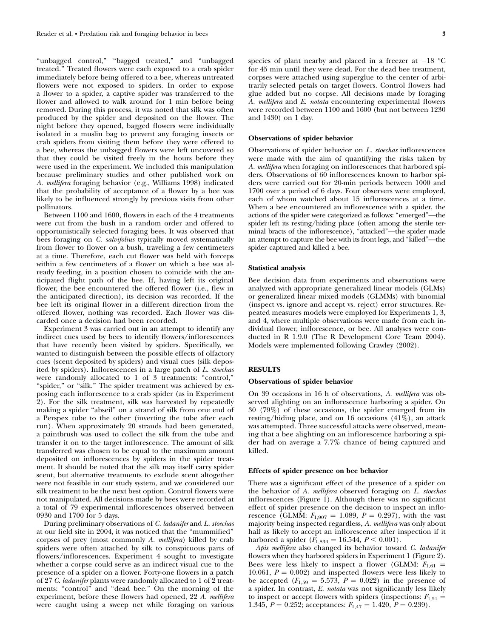''unbagged control,'' ''bagged treated,'' and ''unbagged treated.'' Treated flowers were each exposed to a crab spider immediately before being offered to a bee, whereas untreated flowers were not exposed to spiders. In order to expose a flower to a spider, a captive spider was transferred to the flower and allowed to walk around for 1 min before being removed. During this process, it was noted that silk was often produced by the spider and deposited on the flower. The night before they opened, bagged flowers were individually isolated in a muslin bag to prevent any foraging insects or crab spiders from visiting them before they were offered to a bee, whereas the unbagged flowers were left uncovered so that they could be visited freely in the hours before they were used in the experiment. We included this manipulation because preliminary studies and other published work on A. mellifera foraging behavior (e.g., Williams 1998) indicated that the probability of acceptance of a flower by a bee was likely to be influenced strongly by previous visits from other pollinators.

Between 1100 and 1600, flowers in each of the 4 treatments were cut from the bush in a random order and offered to opportunistically selected foraging bees. It was observed that bees foraging on C. salvifolius typically moved systematically from flower to flower on a bush, traveling a few centimeters at a time. Therefore, each cut flower was held with forceps within a few centimeters of a flower on which a bee was already feeding, in a position chosen to coincide with the anticipated flight path of the bee. If, having left its original flower, the bee encountered the offered flower (i.e., flew in the anticipated direction), its decision was recorded. If the bee left its original flower in a different direction from the offered flower, nothing was recorded. Each flower was discarded once a decision had been recorded.

Experiment 3 was carried out in an attempt to identify any indirect cues used by bees to identify flowers/inflorescences that have recently been visited by spiders. Specifically, we wanted to distinguish between the possible effects of olfactory cues (scent deposited by spiders) and visual cues (silk deposited by spiders). Inflorescences in a large patch of L. stoechas were randomly allocated to 1 of 3 treatments: "control," "spider," or "silk." The spider treatment was achieved by exposing each inflorescence to a crab spider (as in Experiment 2). For the silk treatment, silk was harvested by repeatedly making a spider "abseil" on a strand of silk from one end of a Perspex tube to the other (inverting the tube after each run). When approximately 20 strands had been generated, a paintbrush was used to collect the silk from the tube and transfer it on to the target inflorescence. The amount of silk transferred was chosen to be equal to the maximum amount deposited on inflorescences by spiders in the spider treatment. It should be noted that the silk may itself carry spider scent, but alternative treatments to exclude scent altogether were not feasible in our study system, and we considered our silk treatment to be the next best option. Control flowers were not manipulated. All decisions made by bees were recorded at a total of 79 experimental inflorescences observed between 0930 and 1700 for 5 days.

During preliminary observations of C. ladanifer and L. stoechas at our field site in 2004, it was noticed that the ''mummified'' corpses of prey (most commonly A. mellifera) killed by crab spiders were often attached by silk to conspicuous parts of flowers/inflorescences. Experiment 4 sought to investigate whether a corpse could serve as an indirect visual cue to the presence of a spider on a flower. Forty-one flowers in a patch of 27 C. ladanifer plants were randomly allocated to 1 of 2 treatments: "control" and "dead bee." On the morning of the experiment, before these flowers had opened, 22 A. mellifera were caught using a sweep net while foraging on various

species of plant nearby and placed in a freezer at  $-18$   $^{\circ} \mathrm{C}$ for 45 min until they were dead. For the dead bee treatment, corpses were attached using superglue to the center of arbitrarily selected petals on target flowers. Control flowers had glue added but no corpse. All decisions made by foraging A. mellifera and E. notata encountering experimental flowers were recorded between 1100 and 1600 (but not between 1230 and 1430) on 1 day.

# Observations of spider behavior

Observations of spider behavior on L. stoechas inflorescences were made with the aim of quantifying the risks taken by A. mellifera when foraging on inflorescences that harbored spiders. Observations of 60 inflorescences known to harbor spiders were carried out for 20-min periods between 1000 and 1700 over a period of 6 days. Four observers were employed, each of whom watched about 15 inflorescences at a time. When a bee encountered an inflorescence with a spider, the actions of the spider were categorized as follows: ''emerged''—the spider left its resting/hiding place (often among the sterile terminal bracts of the inflorescence), "attacked"—the spider made an attempt to capture the bee with its front legs, and ''killed''—the spider captured and killed a bee.

#### Statistical analysis

Bee decision data from experiments and observations were analyzed with appropriate generalized linear models (GLMs) or generalized linear mixed models (GLMMs) with binomial (inspect vs. ignore and accept vs. reject) error structures. Repeated measures models were employed for Experiments 1, 3, and 4, where multiple observations were made from each individual flower, inflorescence, or bee. All analyses were conducted in R 1.9.0 (The R Development Core Team 2004). Models were implemented following Crawley (2002).

#### **RESULTS**

#### Observations of spider behavior

On 39 occasions in 16 h of observations, A. mellifera was observed alighting on an inflorescence harboring a spider. On 30 (79%) of these occasions, the spider emerged from its resting/hiding place, and on 16 occasions (41%), an attack was attempted. Three successful attacks were observed, meaning that a bee alighting on an inflorescence harboring a spider had on average a 7.7% chance of being captured and killed.

#### Effects of spider presence on bee behavior

There was a significant effect of the presence of a spider on the behavior of A. mellifera observed foraging on L. stoechas inflorescences (Figure 1). Although there was no significant effect of spider presence on the decision to inspect an inflorescence (GLMM:  $F_{1,907} = 1.089, P = 0.297$ ), with the vast majority being inspected regardless, A. mellifera was only about half as likely to accept an inflorescence after inspection if it harbored a spider  $(F_{1,834} = 16.544, P \le 0.001)$ .

Apis mellifera also changed its behavior toward C. ladanifer flowers when they harbored spiders in Experiment 1 (Figure 2). Bees were less likely to inspect a flower (GLMM:  $F_{1,61} =$ 10.061,  $P = 0.002$ ) and inspected flowers were less likely to be accepted  $(F_{1,59} = 5.573, P = 0.022)$  in the presence of a spider. In contrast, E. notata was not significantly less likely to inspect or accept flowers with spiders (inspections:  $F_{1,51} =$ 1.345,  $P = 0.252$ ; acceptances:  $F_{1,47} = 1.420$ ,  $P = 0.239$ ).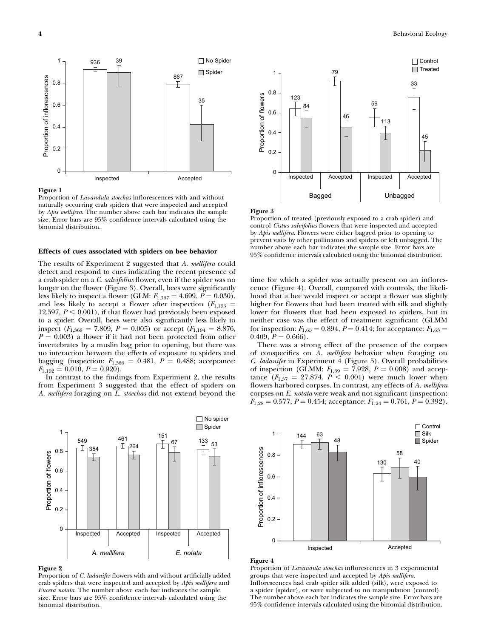

# Figure 1

Proportion of Lavandula stoechas inflorescences with and without naturally occurring crab spiders that were inspected and accepted by Apis mellifera. The number above each bar indicates the sample size. Error bars are 95% confidence intervals calculated using the binomial distribution.

# Effects of cues associated with spiders on bee behavior

The results of Experiment 2 suggested that A. mellifera could detect and respond to cues indicating the recent presence of a crab spider on a C. salvifolius flower, even if the spider was no longer on the flower (Figure 3). Overall, bees were significantly less likely to inspect a flower (GLM:  $F_{1,367} = 4.699, P = 0.030$ ), and less likely to accept a flower after inspection ( $F_{1,193}$  = 12.597,  $P \le 0.001$ ), if that flower had previously been exposed to a spider. Overall, bees were also significantly less likely to inspect ( $F_{1,368} = 7.809$ ,  $P = 0.005$ ) or accept ( $F_{1,194} = 8.876$ ,  $P = 0.003$ ) a flower if it had not been protected from other invertebrates by a muslin bag prior to opening, but there was no interaction between the effects of exposure to spiders and bagging (inspection:  $F_{1,366} = 0.481$ ,  $P = 0.488$ ; acceptance:  $F_{1,192} = 0.010, P = 0.920.$ 

In contrast to the findings from Experiment 2, the results from Experiment 3 suggested that the effect of spiders on A. mellifera foraging on L. stoechas did not extend beyond the



#### Figure 2

Proportion of C. ladanifer flowers with and without artificially added crab spiders that were inspected and accepted by Apis mellifera and Eucera notata. The number above each bar indicates the sample size. Error bars are 95% confidence intervals calculated using the binomial distribution.



#### Figure 3

Proportion of treated (previously exposed to a crab spider) and control Cistus salvifolius flowers that were inspected and accepted by Apis mellifera. Flowers were either bagged prior to opening to prevent visits by other pollinators and spiders or left unbagged. The number above each bar indicates the sample size. Error bars are 95% confidence intervals calculated using the binomial distribution.

time for which a spider was actually present on an inflorescence (Figure 4). Overall, compared with controls, the likelihood that a bee would inspect or accept a flower was slightly higher for flowers that had been treated with silk and slightly lower for flowers that had been exposed to spiders, but in neither case was the effect of treatment significant (GLMM for inspection:  $F_{1,65} = 0.894$ ,  $P = 0.414$ ; for acceptance:  $F_{1,63} =$ 0.409,  $P = 0.666$ .

There was a strong effect of the presence of the corpses of conspecifics on A. mellifera behavior when foraging on C. ladanifer in Experiment 4 (Figure 5). Overall probabilities of inspection (GLMM:  $F_{1,39} = 7.928, P = 0.008$ ) and acceptance  $(F_{1,37} = 27.874, P < 0.001)$  were much lower when flowers harbored corpses. In contrast, any effects of A. mellifera corpses on E. notata were weak and not significant (inspection:  $F_{1,28} = 0.577, P = 0.454;$  acceptance:  $F_{1,24} = 0.761, P = 0.392$ .



#### Figure 4

Proportion of Lavandula stoechas inflorescences in 3 experimental groups that were inspected and accepted by Apis mellifera. Inflorescences had crab spider silk added (silk), were exposed to a spider (spider), or were subjected to no manipulation (control). The number above each bar indicates the sample size. Error bars are 95% confidence intervals calculated using the binomial distribution.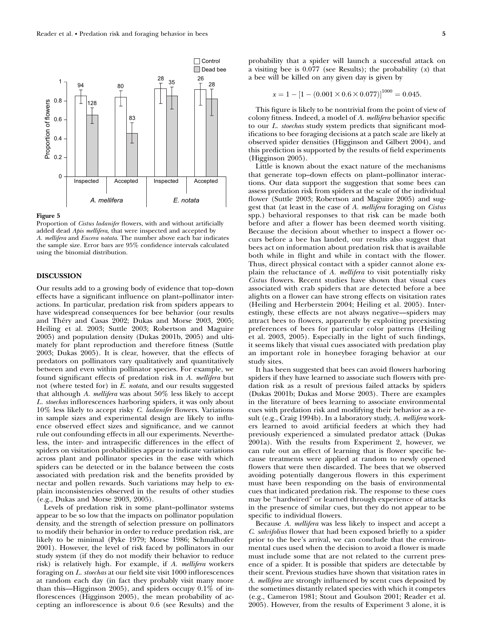

## Figure 5

Proportion of Cistus ladanifer flowers, with and without artificially added dead Apis mellifera, that were inspected and accepted by A. mellifera and Eucera notata. The number above each bar indicates the sample size. Error bars are 95% confidence intervals calculated using the binomial distribution.

# DISCUSSION

Our results add to a growing body of evidence that top–down effects have a significant influence on plant–pollinator interactions. In particular, predation risk from spiders appears to have widespread consequences for bee behavior (our results and Théry and Casas 2002; Dukas and Morse 2003, 2005; Heiling et al. 2003; Suttle 2003; Robertson and Maguire 2005) and population density (Dukas 2001b, 2005) and ultimately for plant reproduction and therefore fitness (Suttle 2003; Dukas 2005). It is clear, however, that the effects of predators on pollinators vary qualitatively and quantitatively between and even within pollinator species. For example, we found significant effects of predation risk in A. mellifera but not (where tested for) in E. *notata*, and our results suggested that although A. mellifera was about 50% less likely to accept L. stoechas inflorescences harboring spiders, it was only about 10% less likely to accept risky C. ladanifer flowers. Variations in sample sizes and experimental design are likely to influence observed effect sizes and significance, and we cannot rule out confounding effects in all our experiments. Nevertheless, the inter- and intraspecific differences in the effect of spiders on visitation probabilities appear to indicate variations across plant and pollinator species in the ease with which spiders can be detected or in the balance between the costs associated with predation risk and the benefits provided by nectar and pollen rewards. Such variations may help to explain inconsistencies observed in the results of other studies (e.g., Dukas and Morse 2003, 2005).

Levels of predation risk in some plant–pollinator systems appear to be so low that the impacts on pollinator population density, and the strength of selection pressure on pollinators to modify their behavior in order to reduce predation risk, are likely to be minimal (Pyke 1979; Morse 1986; Schmalhofer 2001). However, the level of risk faced by pollinators in our study system (if they do not modify their behavior to reduce risk) is relatively high. For example, if A. mellifera workers foraging on L. stoechas at our field site visit 1000 inflorescences at random each day (in fact they probably visit many more than this—Higginson 2005), and spiders occupy 0.1% of inflorescences (Higginson 2005), the mean probability of accepting an inflorescence is about 0.6 (see Results) and the

probability that a spider will launch a successful attack on a visiting bee is  $0.077$  (see Results); the probability  $(x)$  that a bee will be killed on any given day is given by

$$
x = 1 - [1 - (0.001 \times 0.6 \times 0.077)]^{1000} = 0.045.
$$

This figure is likely to be nontrivial from the point of view of colony fitness. Indeed, a model of A. mellifera behavior specific to our L. stoechas study system predicts that significant modifications to bee foraging decisions at a patch scale are likely at observed spider densities (Higginson and Gilbert 2004), and this prediction is supported by the results of field experiments (Higginson 2005).

Little is known about the exact nature of the mechanisms that generate top–down effects on plant–pollinator interactions. Our data support the suggestion that some bees can assess predation risk from spiders at the scale of the individual flower (Suttle 2003; Robertson and Maguire 2005) and suggest that (at least in the case of A. mellifera foraging on Cistus spp.) behavioral responses to that risk can be made both before and after a flower has been deemed worth visiting. Because the decision about whether to inspect a flower occurs before a bee has landed, our results also suggest that bees act on information about predation risk that is available both while in flight and while in contact with the flower. Thus, direct physical contact with a spider cannot alone explain the reluctance of A. mellifera to visit potentially risky Cistus flowers. Recent studies have shown that visual cues associated with crab spiders that are detected before a bee alights on a flower can have strong effects on visitation rates (Heiling and Herberstein 2004; Heiling et al. 2005). Interestingly, these effects are not always negative—spiders may attract bees to flowers, apparently by exploiting preexisting preferences of bees for particular color patterns (Heiling et al. 2003, 2005). Especially in the light of such findings, it seems likely that visual cues associated with predation play an important role in honeybee foraging behavior at our study sites.

It has been suggested that bees can avoid flowers harboring spiders if they have learned to associate such flowers with predation risk as a result of previous failed attacks by spiders (Dukas 2001b; Dukas and Morse 2003). There are examples in the literature of bees learning to associate environmental cues with predation risk and modifying their behavior as a result (e.g., Craig 1994b). In a laboratory study, A. mellifera workers learned to avoid artificial feeders at which they had previously experienced a simulated predator attack (Dukas 2001a). With the results from Experiment 2, however, we can rule out an effect of learning that is flower specific because treatments were applied at random to newly opened flowers that were then discarded. The bees that we observed avoiding potentially dangerous flowers in this experiment must have been responding on the basis of environmental cues that indicated predation risk. The response to these cues may be ''hardwired'' or learned through experience of attacks in the presence of similar cues, but they do not appear to be specific to individual flowers.

Because A. mellifera was less likely to inspect and accept a C. salvifolius flower that had been exposed briefly to a spider prior to the bee's arrival, we can conclude that the environmental cues used when the decision to avoid a flower is made must include some that are not related to the current presence of a spider. It is possible that spiders are detectable by their scent. Previous studies have shown that visitation rates in A. mellifera are strongly influenced by scent cues deposited by the sometimes distantly related species with which it competes (e.g., Cameron 1981; Stout and Goulson 2001; Reader et al. 2005). However, from the results of Experiment 3 alone, it is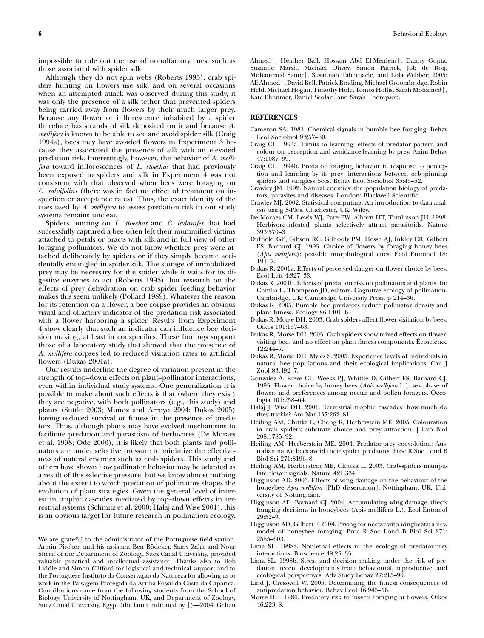Although they do not spin webs (Roberts 1995), crab spiders hunting on flowers use silk, and on several occasions when an attempted attack was observed during this study, it was only the presence of a silk tether that prevented spiders being carried away from flowers by their much larger prey. Because any flower or inflorescence inhabited by a spider therefore has strands of silk deposited on it and because A. mellifera is known to be able to see and avoid spider silk (Craig 1994a), bees may have avoided flowers in Experiment 3 because they associated the presence of silk with an elevated predation risk. Interestingly, however, the behavior of A. mellifera toward inflorescences of L. stoechas that had previously been exposed to spiders and silk in Experiment 4 was not consistent with that observed when bees were foraging on C. salvifolius (there was in fact no effect of treatment on inspection or acceptance rates). Thus, the exact identity of the cues used by A. mellifera to assess predation risk in our study systems remains unclear.

Spiders hunting on L. stoechas and C. ladanifer that had successfully captured a bee often left their mummified victims attached to petals or bracts with silk and in full view of other foraging pollinators. We do not know whether prey were attached deliberately by spiders or if they simply became accidentally entangled in spider silk. The storage of immobilized prey may be necessary for the spider while it waits for its digestive enzymes to act (Roberts 1995), but research on the effects of prey dehydration on crab spider feeding behavior makes this seem unlikely (Pollard 1989). Whatever the reason for its retention on a flower, a bee corpse provides an obvious visual and olfactory indicator of the predation risk associated with a flower harboring a spider. Results from Experiment 4 show clearly that such an indicator can influence bee decision making, at least in conspecifics. These findings support those of a laboratory study that showed that the presence of A. mellifera corpses led to reduced visitation rates to artificial flowers (Dukas 2001a).

Our results underline the degree of variation present in the strength of top–down effects on plant–pollinator interactions, even within individual study systems. One generalization it is possible to make about such effects is that (where they exist) they are negative, with both pollinators (e.g., this study) and plants (Suttle 2003; Muñoz and Arroyo 2004; Dukas 2005) having reduced survival or fitness in the presence of predators. Thus, although plants may have evolved mechanisms to facilitate predation and parasitism of herbivores (De Moraes et al. 1998; Ode 2006), it is likely that both plants and pollinators are under selective pressure to minimize the effectiveness of natural enemies such as crab spiders. This study and others have shown how pollinator behavior may be adapted as a result of this selective pressure, but we know almost nothing about the extent to which predation of pollinators shapes the evolution of plant strategies. Given the general level of interest in trophic cascades mediated by top–down effects in terrestrial systems (Schmitz et al. 2000; Halaj and Wise 2001), this is an obvious target for future research in pollination ecology.

We are grateful to the administrator of the Portuguese field station, Armin Pircher, and his assistant Ben Bödeker. Samy Zalat and Nour Sherif of the Department of Zoology, Suez Canal University, provided valuable practical and intellectual assistance. Thanks also to Bob Liddle and Simon Clifford for logistical and technical support and to the Portuguese Instituto da Conservação da Natureza for allowing us to work in the Paisagem Protegida da Arriba Fossil da Costa da Caparica. Contributions came from the following students from the School of Biology, University of Nottingham, UK, and Department of Zoology, Suez Canal University, Egypt (the latter indicated by  $\dagger$ )—2004: Gehan

Ahmed<sup>†</sup>, Heather Ball, Hossam Abd El-Meniem<sup>†</sup>, Danny Gupta, Suzanne Marsh, Michael Olivey, Simon Patrick, Job de Roij, Mohammed Samir†, Susannah Tabernacle, and Lola Webber; 2005: Ali Ahmed<sup>+</sup>, David Bell, Patrick Brading, Michael Groombridge, Robin Held, Michael Hogan, Timothy Hole, Tomos Hollis, Sarah Mohamed†, Kate Plummer, Daniel Scolari, and Sarah Thompson.

# **REFERENCES**

- Cameron SA. 1981. Chemical signals in bumble bee foraging. Behav Ecol Sociobiol 9:257–60.
- Craig CL. 1994a. Limits to learning: effects of predator pattern and colour on perception and avoidance-learning by prey. Anim Behav 47:1087–99.
- Craig CL. 1994b. Predator foraging behavior in response to perception and learning by its prey: interactions between orb-spinning spiders and stingless bees. Behav Ecol Sociobiol 35:45–52.
- Crawley JM. 1992. Natural enemies: the population biology of predators, parasites and diseases. London: Blackwell Scientific.
- Crawley MJ. 2002. Statistical computing. An introduction to data analysis using S-Plus. Chichester, UK: Wiley.
- De Moraes CM, Lewis WJ, Pare PW, Alborn HT, Tumlinson JH. 1998. Herbivore-infested plants selectively attract parasitoids. Nature 393:570–3.
- Duffield GE, Gibson RC, Gilhooly PM, Hesse AJ, Inkley CR, Gilbert FS, Barnard CJ. 1993. Choice of flowers by foraging honey bees (Apis mellifera): possible morphological cues. Ecol Entomol 18: 191–7.
- Dukas R. 2001a. Effects of perceived danger on flower choice by bees. Ecol Lett 4:327–33.
- Dukas R. 2001b. Effects of predation risk on pollinators and plants. In: Chittka L, Thompson JD, editors. Cognitive ecology of pollination. Cambridge, UK: Cambridge University Press. p 214–36.
- Dukas R. 2005. Bumble bee predators reduce pollinator density and plant fitness. Ecology 86:1401–6.
- Dukas R, Morse DH. 2003. Crab spiders affect flower visitation by bees. Oikos 101:157–63.
- Dukas R, Morse DH. 2005. Crab spiders show mixed effects on flowervisiting bees and no effect on plant fitness components. Ecoscience 12:244–7.
- Dukas R, Morse DH, Myles S. 2005. Experience levels of individuals in natural bee populations and their ecological implications. Can J Zool 83:492–7.
- Gonzalez A, Rowe CL, Weeks PJ, Whittle D, Gilbert FS, Barnard CJ. 1995. Flower choice by honey bees (Apis mellifera L.): sex-phase of flowers and preferences among nectar and pollen foragers. Oecologia 101:258–64.
- Halaj J, Wise DH. 2001. Terrestrial trophic cascades: how much do they trickle? Am Nat 157:262–81.
- Heiling AM, Chittka L, Cheng K, Herberstein ME. 2005. Colouration in crab spiders: substrate choice and prey attraction. J Exp Biol 208:1785–92.
- Heiling AM, Herberstein ME. 2004. Predator-prey coevolution: Australian native bees avoid their spider predators. Proc R Soc Lond B Biol Sci 271:S196–8.
- Heiling AM, Herberstein ME, Chittka L. 2003. Crab-spiders manipulate flower signals. Nature 421:334.
- Higginson AD. 2005. Effects of wing damage on the behaviour of the honeybee Apis mellifera [PhD dissertation]. Nottingham, UK: University of Nottingham.
- Higginson AD, Barnard CJ. 2004. Accumulating wing damage affects foraging decisions in honeybees (Apis mellifera L.). Ecol Entomol 29:52–9.
- Higginson AD, Gilbert F. 2004. Paying for nectar with wingbeats: a new model of honeybee foraging. Proc R Soc Lond B Biol Sci 271: 2585–603.
- Lima SL. 1998a. Nonlethal effects in the ecology of predator-prey interactions. Bioscience 48:25–35.
- Lima SL. 1998b. Stress and decision making under the risk of predation: recent developments from behavioural, reproductive, and ecological perspectives. Adv Study Behav 27:215–90.
- Lind J, Cresswell W. 2005. Determining the fitness consequences of antipredation behavior. Behav Ecol 16:945–56.
- Morse DH. 1986. Predatory risk to insects foraging at flowers. Oikos  $46.993 - 8$